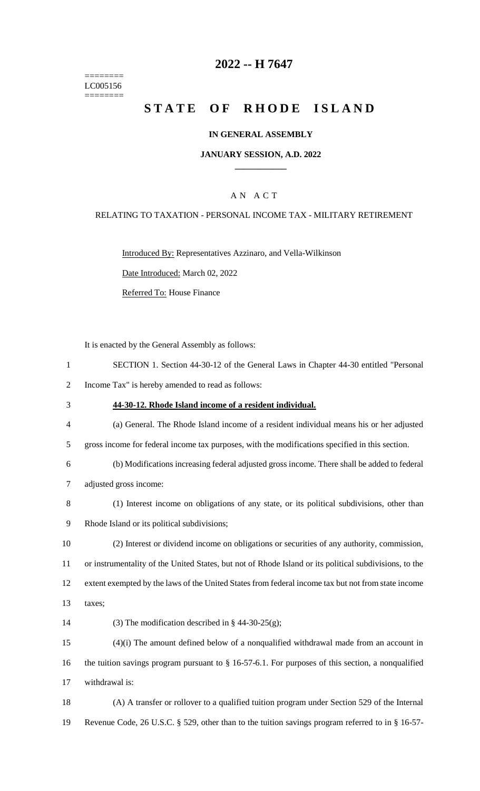======== LC005156 ========

## **2022 -- H 7647**

# **STATE OF RHODE ISLAND**

#### **IN GENERAL ASSEMBLY**

#### **JANUARY SESSION, A.D. 2022 \_\_\_\_\_\_\_\_\_\_\_\_**

### A N A C T

#### RELATING TO TAXATION - PERSONAL INCOME TAX - MILITARY RETIREMENT

Introduced By: Representatives Azzinaro, and Vella-Wilkinson

Date Introduced: March 02, 2022

Referred To: House Finance

It is enacted by the General Assembly as follows:

- 1 SECTION 1. Section 44-30-12 of the General Laws in Chapter 44-30 entitled "Personal
- 2 Income Tax" is hereby amended to read as follows:
- 3 **44-30-12. Rhode Island income of a resident individual.**
- 4 (a) General. The Rhode Island income of a resident individual means his or her adjusted
- 5 gross income for federal income tax purposes, with the modifications specified in this section.
- 6 (b) Modifications increasing federal adjusted gross income. There shall be added to federal 7 adjusted gross income:
- 8 (1) Interest income on obligations of any state, or its political subdivisions, other than
- 9 Rhode Island or its political subdivisions;
- 10 (2) Interest or dividend income on obligations or securities of any authority, commission, 11 or instrumentality of the United States, but not of Rhode Island or its political subdivisions, to the 12 extent exempted by the laws of the United States from federal income tax but not from state income
- 13 taxes;
- 14 (3) The modification described in  $\S$  44-30-25(g);

15 (4)(i) The amount defined below of a nonqualified withdrawal made from an account in 16 the tuition savings program pursuant to § 16-57-6.1. For purposes of this section, a nonqualified 17 withdrawal is:

18 (A) A transfer or rollover to a qualified tuition program under Section 529 of the Internal 19 Revenue Code, 26 U.S.C. § 529, other than to the tuition savings program referred to in § 16-57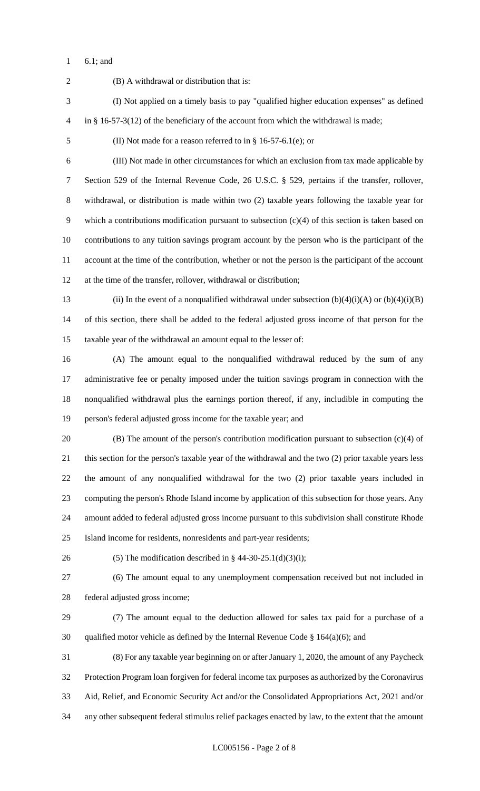6.1; and

 (B) A withdrawal or distribution that is: (I) Not applied on a timely basis to pay "qualified higher education expenses" as defined in § 16-57-3(12) of the beneficiary of the account from which the withdrawal is made; (II) Not made for a reason referred to in § 16-57-6.1(e); or (III) Not made in other circumstances for which an exclusion from tax made applicable by Section 529 of the Internal Revenue Code, 26 U.S.C. § 529, pertains if the transfer, rollover, withdrawal, or distribution is made within two (2) taxable years following the taxable year for which a contributions modification pursuant to subsection (c)(4) of this section is taken based on contributions to any tuition savings program account by the person who is the participant of the account at the time of the contribution, whether or not the person is the participant of the account at the time of the transfer, rollover, withdrawal or distribution; 13 (ii) In the event of a nonqualified withdrawal under subsection  $(b)(4)(i)(A)$  or  $(b)(4)(i)(B)$  of this section, there shall be added to the federal adjusted gross income of that person for the taxable year of the withdrawal an amount equal to the lesser of: (A) The amount equal to the nonqualified withdrawal reduced by the sum of any administrative fee or penalty imposed under the tuition savings program in connection with the nonqualified withdrawal plus the earnings portion thereof, if any, includible in computing the person's federal adjusted gross income for the taxable year; and (B) The amount of the person's contribution modification pursuant to subsection (c)(4) of this section for the person's taxable year of the withdrawal and the two (2) prior taxable years less the amount of any nonqualified withdrawal for the two (2) prior taxable years included in computing the person's Rhode Island income by application of this subsection for those years. Any amount added to federal adjusted gross income pursuant to this subdivision shall constitute Rhode Island income for residents, nonresidents and part-year residents; 26 (5) The modification described in  $\S$  44-30-25.1(d)(3)(i); (6) The amount equal to any unemployment compensation received but not included in federal adjusted gross income; (7) The amount equal to the deduction allowed for sales tax paid for a purchase of a 30 qualified motor vehicle as defined by the Internal Revenue Code  $\S$  164(a)(6); and (8) For any taxable year beginning on or after January 1, 2020, the amount of any Paycheck Protection Program loan forgiven for federal income tax purposes as authorized by the Coronavirus Aid, Relief, and Economic Security Act and/or the Consolidated Appropriations Act, 2021 and/or any other subsequent federal stimulus relief packages enacted by law, to the extent that the amount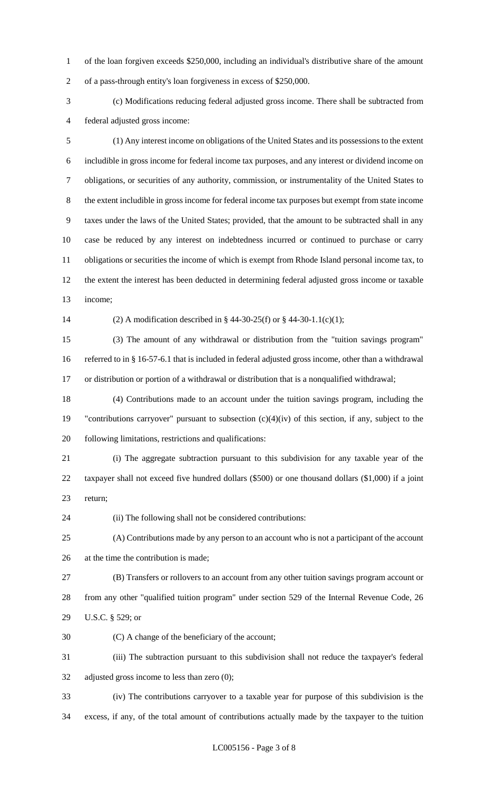of the loan forgiven exceeds \$250,000, including an individual's distributive share of the amount of a pass-through entity's loan forgiveness in excess of \$250,000.

 (c) Modifications reducing federal adjusted gross income. There shall be subtracted from federal adjusted gross income:

 (1) Any interest income on obligations of the United States and its possessions to the extent includible in gross income for federal income tax purposes, and any interest or dividend income on obligations, or securities of any authority, commission, or instrumentality of the United States to the extent includible in gross income for federal income tax purposes but exempt from state income taxes under the laws of the United States; provided, that the amount to be subtracted shall in any case be reduced by any interest on indebtedness incurred or continued to purchase or carry obligations or securities the income of which is exempt from Rhode Island personal income tax, to the extent the interest has been deducted in determining federal adjusted gross income or taxable income;

(2) A modification described in § 44-30-25(f) or § 44-30-1.1(c)(1);

 (3) The amount of any withdrawal or distribution from the "tuition savings program" referred to in § 16-57-6.1 that is included in federal adjusted gross income, other than a withdrawal or distribution or portion of a withdrawal or distribution that is a nonqualified withdrawal;

 (4) Contributions made to an account under the tuition savings program, including the "contributions carryover" pursuant to subsection (c)(4)(iv) of this section, if any, subject to the following limitations, restrictions and qualifications:

 (i) The aggregate subtraction pursuant to this subdivision for any taxable year of the taxpayer shall not exceed five hundred dollars (\$500) or one thousand dollars (\$1,000) if a joint return;

(ii) The following shall not be considered contributions:

 (A) Contributions made by any person to an account who is not a participant of the account at the time the contribution is made;

 (B) Transfers or rollovers to an account from any other tuition savings program account or from any other "qualified tuition program" under section 529 of the Internal Revenue Code, 26 U.S.C. § 529; or

(C) A change of the beneficiary of the account;

 (iii) The subtraction pursuant to this subdivision shall not reduce the taxpayer's federal adjusted gross income to less than zero (0);

 (iv) The contributions carryover to a taxable year for purpose of this subdivision is the excess, if any, of the total amount of contributions actually made by the taxpayer to the tuition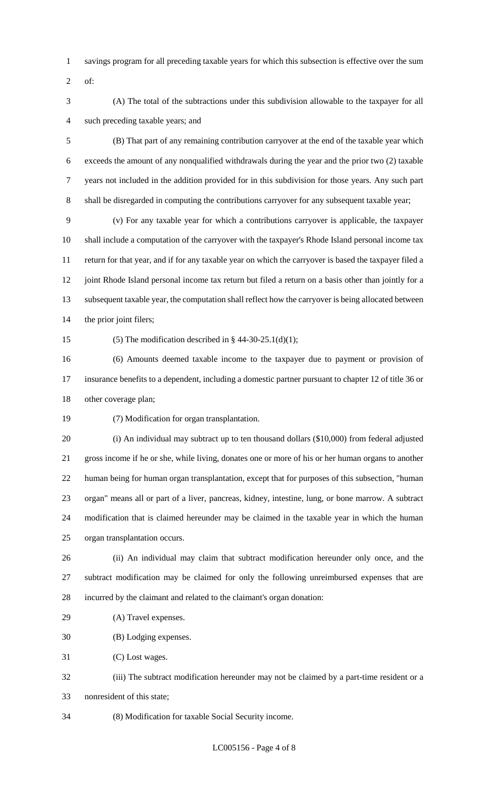- savings program for all preceding taxable years for which this subsection is effective over the sum
- of:
- (A) The total of the subtractions under this subdivision allowable to the taxpayer for all such preceding taxable years; and

 (B) That part of any remaining contribution carryover at the end of the taxable year which exceeds the amount of any nonqualified withdrawals during the year and the prior two (2) taxable years not included in the addition provided for in this subdivision for those years. Any such part shall be disregarded in computing the contributions carryover for any subsequent taxable year;

 (v) For any taxable year for which a contributions carryover is applicable, the taxpayer shall include a computation of the carryover with the taxpayer's Rhode Island personal income tax return for that year, and if for any taxable year on which the carryover is based the taxpayer filed a 12 joint Rhode Island personal income tax return but filed a return on a basis other than jointly for a subsequent taxable year, the computation shall reflect how the carryover is being allocated between the prior joint filers;

15 (5) The modification described in  $\S$  44-30-25.1(d)(1);

 (6) Amounts deemed taxable income to the taxpayer due to payment or provision of insurance benefits to a dependent, including a domestic partner pursuant to chapter 12 of title 36 or other coverage plan;

(7) Modification for organ transplantation.

 (i) An individual may subtract up to ten thousand dollars (\$10,000) from federal adjusted gross income if he or she, while living, donates one or more of his or her human organs to another human being for human organ transplantation, except that for purposes of this subsection, "human organ" means all or part of a liver, pancreas, kidney, intestine, lung, or bone marrow. A subtract modification that is claimed hereunder may be claimed in the taxable year in which the human organ transplantation occurs.

 (ii) An individual may claim that subtract modification hereunder only once, and the subtract modification may be claimed for only the following unreimbursed expenses that are incurred by the claimant and related to the claimant's organ donation:

(A) Travel expenses.

(B) Lodging expenses.

(C) Lost wages.

 (iii) The subtract modification hereunder may not be claimed by a part-time resident or a nonresident of this state;

(8) Modification for taxable Social Security income.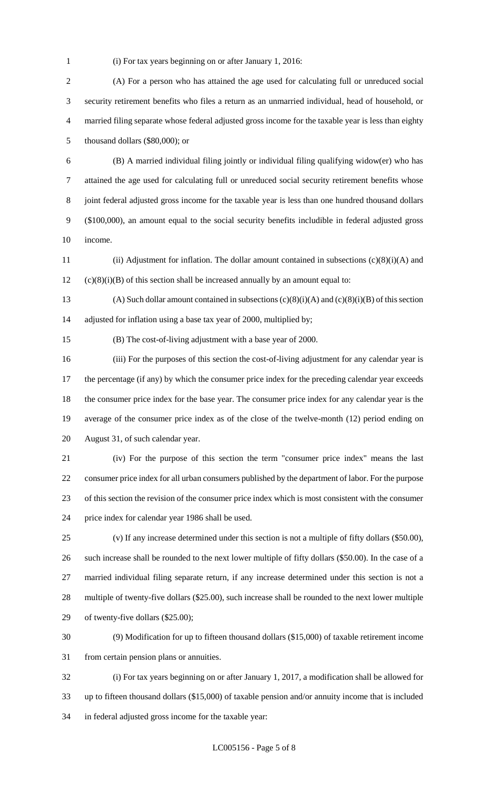(i) For tax years beginning on or after January 1, 2016:

 (A) For a person who has attained the age used for calculating full or unreduced social security retirement benefits who files a return as an unmarried individual, head of household, or married filing separate whose federal adjusted gross income for the taxable year is less than eighty thousand dollars (\$80,000); or

 (B) A married individual filing jointly or individual filing qualifying widow(er) who has attained the age used for calculating full or unreduced social security retirement benefits whose joint federal adjusted gross income for the taxable year is less than one hundred thousand dollars (\$100,000), an amount equal to the social security benefits includible in federal adjusted gross income.

 (ii) Adjustment for inflation. The dollar amount contained in subsections (c)(8)(i)(A) and (c)(8)(i)(B) of this section shall be increased annually by an amount equal to:

13 (A) Such dollar amount contained in subsections  $(c)(8)(i)(A)$  and  $(c)(8)(i)(B)$  of this section adjusted for inflation using a base tax year of 2000, multiplied by;

(B) The cost-of-living adjustment with a base year of 2000.

 (iii) For the purposes of this section the cost-of-living adjustment for any calendar year is 17 the percentage (if any) by which the consumer price index for the preceding calendar year exceeds the consumer price index for the base year. The consumer price index for any calendar year is the average of the consumer price index as of the close of the twelve-month (12) period ending on August 31, of such calendar year.

 (iv) For the purpose of this section the term "consumer price index" means the last consumer price index for all urban consumers published by the department of labor. For the purpose of this section the revision of the consumer price index which is most consistent with the consumer price index for calendar year 1986 shall be used.

 (v) If any increase determined under this section is not a multiple of fifty dollars (\$50.00), such increase shall be rounded to the next lower multiple of fifty dollars (\$50.00). In the case of a married individual filing separate return, if any increase determined under this section is not a multiple of twenty-five dollars (\$25.00), such increase shall be rounded to the next lower multiple of twenty-five dollars (\$25.00);

 (9) Modification for up to fifteen thousand dollars (\$15,000) of taxable retirement income from certain pension plans or annuities.

 (i) For tax years beginning on or after January 1, 2017, a modification shall be allowed for up to fifteen thousand dollars (\$15,000) of taxable pension and/or annuity income that is included in federal adjusted gross income for the taxable year: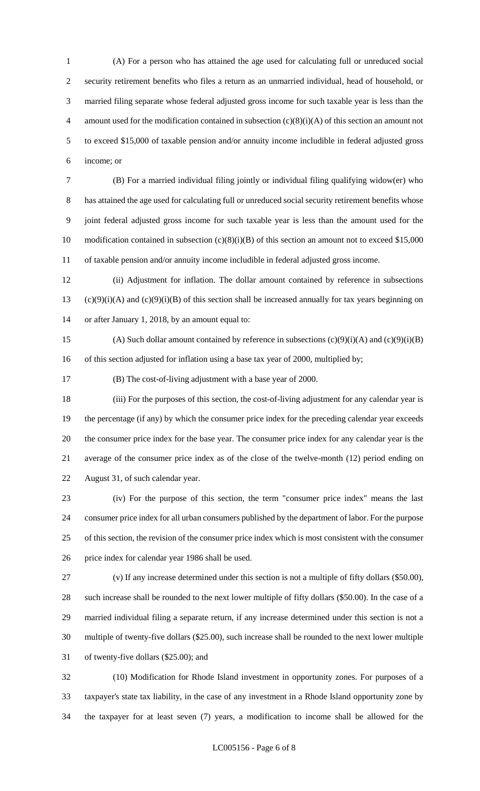(A) For a person who has attained the age used for calculating full or unreduced social security retirement benefits who files a return as an unmarried individual, head of household, or married filing separate whose federal adjusted gross income for such taxable year is less than the 4 amount used for the modification contained in subsection  $(c)(8)(i)(A)$  of this section an amount not to exceed \$15,000 of taxable pension and/or annuity income includible in federal adjusted gross income; or

 (B) For a married individual filing jointly or individual filing qualifying widow(er) who has attained the age used for calculating full or unreduced social security retirement benefits whose joint federal adjusted gross income for such taxable year is less than the amount used for the 10 modification contained in subsection (c)(8)(i)(B) of this section an amount not to exceed \$15,000 of taxable pension and/or annuity income includible in federal adjusted gross income.

 (ii) Adjustment for inflation. The dollar amount contained by reference in subsections 13 (c)(9)(i)(A) and (c)(9)(i)(B) of this section shall be increased annually for tax years beginning on or after January 1, 2018, by an amount equal to:

15 (A) Such dollar amount contained by reference in subsections  $(c)(9)(i)(A)$  and  $(c)(9)(i)(B)$ 16 of this section adjusted for inflation using a base tax year of 2000, multiplied by;

(B) The cost-of-living adjustment with a base year of 2000.

 (iii) For the purposes of this section, the cost-of-living adjustment for any calendar year is the percentage (if any) by which the consumer price index for the preceding calendar year exceeds the consumer price index for the base year. The consumer price index for any calendar year is the average of the consumer price index as of the close of the twelve-month (12) period ending on August 31, of such calendar year.

 (iv) For the purpose of this section, the term "consumer price index" means the last consumer price index for all urban consumers published by the department of labor. For the purpose of this section, the revision of the consumer price index which is most consistent with the consumer price index for calendar year 1986 shall be used.

 (v) If any increase determined under this section is not a multiple of fifty dollars (\$50.00), such increase shall be rounded to the next lower multiple of fifty dollars (\$50.00). In the case of a married individual filing a separate return, if any increase determined under this section is not a multiple of twenty-five dollars (\$25.00), such increase shall be rounded to the next lower multiple of twenty-five dollars (\$25.00); and

 (10) Modification for Rhode Island investment in opportunity zones. For purposes of a taxpayer's state tax liability, in the case of any investment in a Rhode Island opportunity zone by the taxpayer for at least seven (7) years, a modification to income shall be allowed for the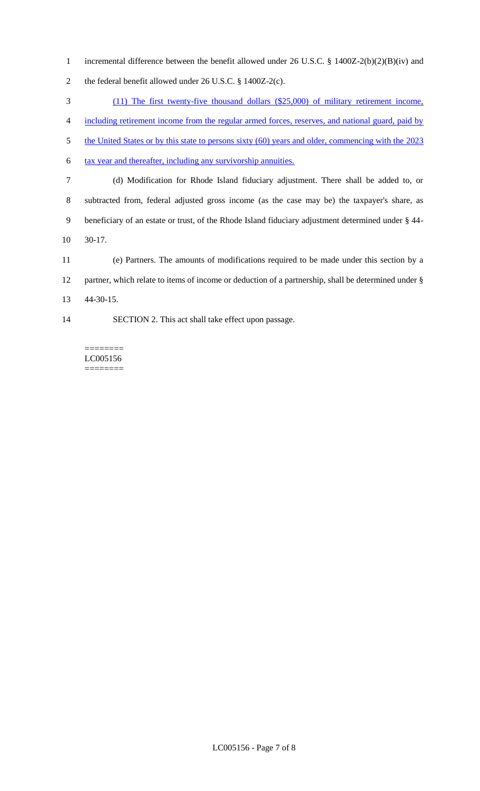incremental difference between the benefit allowed under 26 U.S.C. § 1400Z-2(b)(2)(B)(iv) and the federal benefit allowed under 26 U.S.C. § 1400Z-2(c).

(11) The first twenty-five thousand dollars (\$25,000) of military retirement income,

including retirement income from the regular armed forces, reserves, and national guard, paid by

5 the United States or by this state to persons sixty (60) years and older, commencing with the 2023

6 tax year and thereafter, including any survivorship annuities.

- (d) Modification for Rhode Island fiduciary adjustment. There shall be added to, or subtracted from, federal adjusted gross income (as the case may be) the taxpayer's share, as beneficiary of an estate or trust, of the Rhode Island fiduciary adjustment determined under § 44- 30-17.
- (e) Partners. The amounts of modifications required to be made under this section by a partner, which relate to items of income or deduction of a partnership, shall be determined under § 44-30-15.
- SECTION 2. This act shall take effect upon passage.

======== LC005156 ========